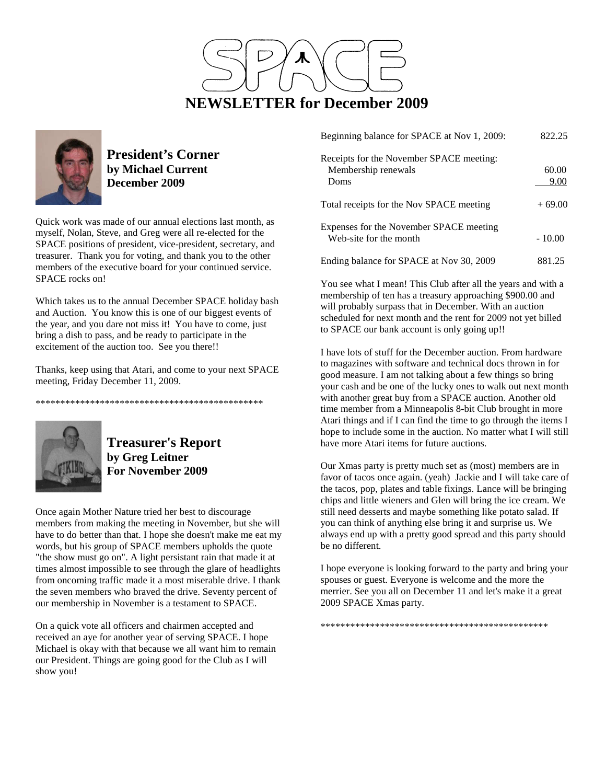



**President's Corner by Michael Current December 2009**

Quick work was made of our annual elections last month, as myself, Nolan, Steve, and Greg were all re-elected for the SPACE positions of president, vice-president, secretary, and treasurer. Thank you for voting, and thank you to the other members of the executive board for your continued service. SPACE rocks on!

Which takes us to the annual December SPACE holiday bash and Auction. You know this is one of our biggest events of the year, and you dare not miss it! You have to come, just bring a dish to pass, and be ready to participate in the excitement of the auction too. See you there!!

Thanks, keep using that Atari, and come to your next SPACE meeting, Friday December 11, 2009.

\*\*\*\*\*\*\*\*\*\*\*\*\*\*\*\*\*\*\*\*\*\*\*\*\*\*\*\*\*\*\*\*\*\*\*\*\*\*\*\*\*\*\*\*\*\*



**Treasurer's Report by Greg Leitner For November 2009** 

Once again Mother Nature tried her best to discourage members from making the meeting in November, but she will have to do better than that. I hope she doesn't make me eat my words, but his group of SPACE members upholds the quote "the show must go on". A light persistant rain that made it at times almost impossible to see through the glare of headlights from oncoming traffic made it a most miserable drive. I thank the seven members who braved the drive. Seventy percent of our membership in November is a testament to SPACE.

On a quick vote all officers and chairmen accepted and received an aye for another year of serving SPACE. I hope Michael is okay with that because we all want him to remain our President. Things are going good for the Club as I will show you!

| Beginning balance for SPACE at Nov 1, 2009:                       | 822.25   |
|-------------------------------------------------------------------|----------|
| Receipts for the November SPACE meeting:                          |          |
| Membership renewals                                               | 60.00    |
| Doms                                                              | 9.00     |
| Total receipts for the Nov SPACE meeting                          | $+69.00$ |
| Expenses for the November SPACE meeting<br>Web-site for the month | $-10.00$ |
| Ending balance for SPACE at Nov 30, 2009                          | 881.25   |

You see what I mean! This Club after all the years and with a membership of ten has a treasury approaching \$900.00 and will probably surpass that in December. With an auction scheduled for next month and the rent for 2009 not yet billed to SPACE our bank account is only going up!!

I have lots of stuff for the December auction. From hardware to magazines with software and technical docs thrown in for good measure. I am not talking about a few things so bring your cash and be one of the lucky ones to walk out next month with another great buy from a SPACE auction. Another old time member from a Minneapolis 8-bit Club brought in more Atari things and if I can find the time to go through the items I hope to include some in the auction. No matter what I will still have more Atari items for future auctions.

Our Xmas party is pretty much set as (most) members are in favor of tacos once again. (yeah) Jackie and I will take care of the tacos, pop, plates and table fixings. Lance will be bringing chips and little wieners and Glen will bring the ice cream. We still need desserts and maybe something like potato salad. If you can think of anything else bring it and surprise us. We always end up with a pretty good spread and this party should be no different.

I hope everyone is looking forward to the party and bring your spouses or guest. Everyone is welcome and the more the merrier. See you all on December 11 and let's make it a great 2009 SPACE Xmas party.

\*\*\*\*\*\*\*\*\*\*\*\*\*\*\*\*\*\*\*\*\*\*\*\*\*\*\*\*\*\*\*\*\*\*\*\*\*\*\*\*\*\*\*\*\*\*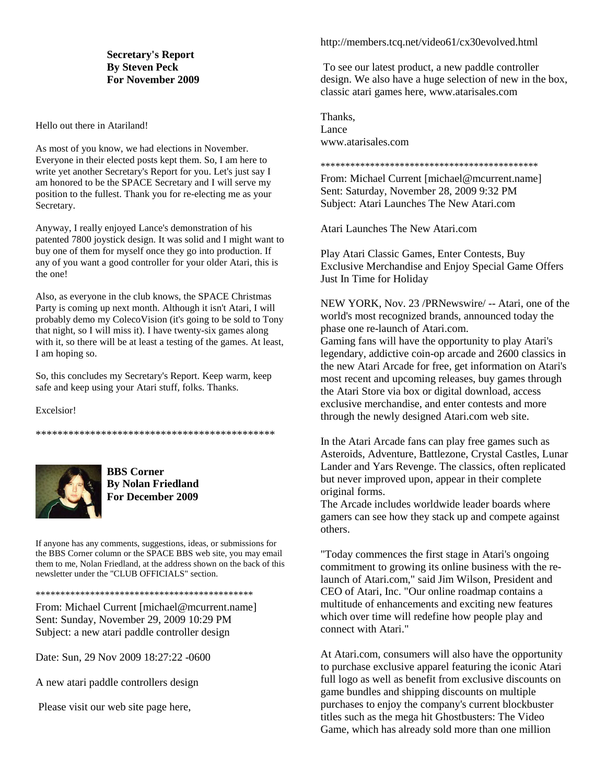#### **Secretary's Report By Steven Peck For November 2009**

Hello out there in Atariland!

As most of you know, we had elections in November. Everyone in their elected posts kept them. So, I am here to write yet another Secretary's Report for you. Let's just say I am honored to be the SPACE Secretary and I will serve my position to the fullest. Thank you for re-electing me as your Secretary.

Anyway, I really enjoyed Lance's demonstration of his patented 7800 joystick design. It was solid and I might want to buy one of them for myself once they go into production. If any of you want a good controller for your older Atari, this is the one!

Also, as everyone in the club knows, the SPACE Christmas Party is coming up next month. Although it isn't Atari, I will probably demo my ColecoVision (it's going to be sold to Tony that night, so I will miss it). I have twenty-six games along with it, so there will be at least a testing of the games. At least, I am hoping so.

So, this concludes my Secretary's Report. Keep warm, keep safe and keep using your Atari stuff, folks. Thanks.

Excelsior!

\*\*\*\*\*\*\*\*\*\*\*\*\*\*\*\*\*\*\*\*\*\*\*\*\*\*\*\*\*\*\*\*\*\*\*\*\*\*\*\*\*\*\*\*



**BBS Corner By Nolan Friedland For December 2009** 

If anyone has any comments, suggestions, ideas, or submissions for the BBS Corner column or the SPACE BBS web site, you may email them to me, Nolan Friedland, at the address shown on the back of this newsletter under the "CLUB OFFICIALS" section.

\*\*\*\*\*\*\*\*\*\*\*\*\*\*\*\*\*\*\*\*\*\*\*\*\*\*\*\*\*\*\*\*\*\*\*\*\*\*\*\*\*\*\*\*

From: Michael Current [michael@mcurrent.name] Sent: Sunday, November 29, 2009 10:29 PM Subject: a new atari paddle controller design

Date: Sun, 29 Nov 2009 18:27:22 -0600

A new atari paddle controllers design

Please visit our web site page here,

#### http://members.tcq.net/video61/cx30evolved.html

 To see our latest product, a new paddle controller design. We also have a huge selection of new in the box, classic atari games here, www.atarisales.com

Thanks, Lance www.atarisales.com

\*\*\*\*\*\*\*\*\*\*\*\*\*\*\*\*\*\*\*\*\*\*\*\*\*\*\*\*\*\*\*\*\*\*\*\*\*\*\*\*\*\*\*\*

From: Michael Current [michael@mcurrent.name] Sent: Saturday, November 28, 2009 9:32 PM Subject: Atari Launches The New Atari.com

Atari Launches The New Atari.com

Play Atari Classic Games, Enter Contests, Buy Exclusive Merchandise and Enjoy Special Game Offers Just In Time for Holiday

NEW YORK, Nov. 23 /PRNewswire/ -- Atari, one of the world's most recognized brands, announced today the phase one re-launch of Atari.com. Gaming fans will have the opportunity to play Atari's legendary, addictive coin-op arcade and 2600 classics in the new Atari Arcade for free, get information on Atari's most recent and upcoming releases, buy games through the Atari Store via box or digital download, access exclusive merchandise, and enter contests and more through the newly designed Atari.com web site.

In the Atari Arcade fans can play free games such as Asteroids, Adventure, Battlezone, Crystal Castles, Lunar Lander and Yars Revenge. The classics, often replicated but never improved upon, appear in their complete original forms.

The Arcade includes worldwide leader boards where gamers can see how they stack up and compete against others.

"Today commences the first stage in Atari's ongoing commitment to growing its online business with the relaunch of Atari.com," said Jim Wilson, President and CEO of Atari, Inc. "Our online roadmap contains a multitude of enhancements and exciting new features which over time will redefine how people play and connect with Atari."

At Atari.com, consumers will also have the opportunity to purchase exclusive apparel featuring the iconic Atari full logo as well as benefit from exclusive discounts on game bundles and shipping discounts on multiple purchases to enjoy the company's current blockbuster titles such as the mega hit Ghostbusters: The Video Game, which has already sold more than one million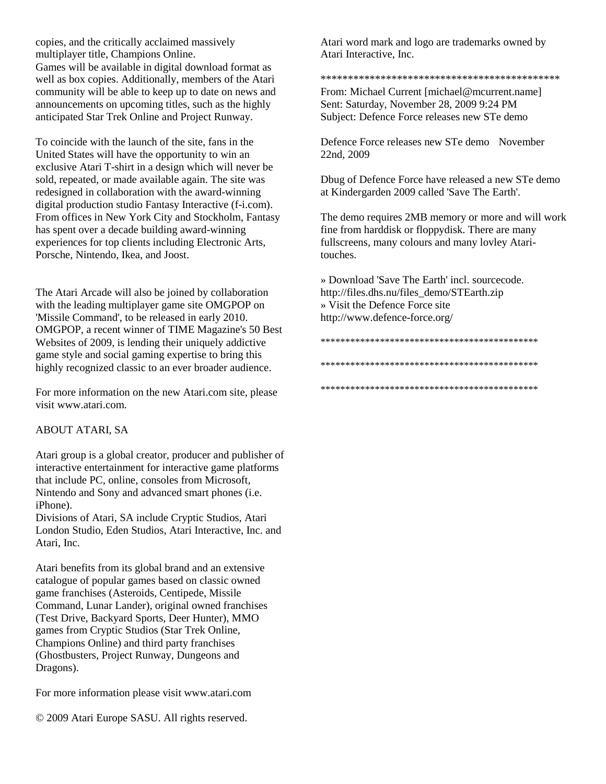copies, and the critically acclaimed massively multiplayer title, Champions Online. Games will be available in digital download format as well as box copies. Additionally, members of the Atari community will be able to keep up to date on news and announcements on upcoming titles, such as the highly anticipated Star Trek Online and Project Runway.

To coincide with the launch of the site, fans in the United States will have the opportunity to win an exclusive Atari T-shirt in a design which will never be sold, repeated, or made available again. The site was redesigned in collaboration with the award-winning digital production studio Fantasy Interactive (f-i.com). From offices in New York City and Stockholm, Fantasy has spent over a decade building award-winning experiences for top clients including Electronic Arts, Porsche, Nintendo, Ikea, and Joost.

The Atari Arcade will also be joined by collaboration with the leading multiplayer game site OMGPOP on 'Missile Command', to be released in early 2010. OMGPOP, a recent winner of TIME Magazine's 50 Best Websites of 2009, is lending their uniquely addictive game style and social gaming expertise to bring this highly recognized classic to an ever broader audience.

For more information on the new Atari.com site, please visit www.atari.com.

### ABOUT ATARI, SA

Atari group is a global creator, producer and publisher of interactive entertainment for interactive game platforms that include PC, online, consoles from Microsoft, Nintendo and Sony and advanced smart phones (i.e. iPhone).

Divisions of Atari, SA include Cryptic Studios, Atari London Studio, Eden Studios, Atari Interactive, Inc. and Atari, Inc.

Atari benefits from its global brand and an extensive catalogue of popular games based on classic owned game franchises (Asteroids, Centipede, Missile Command, Lunar Lander), original owned franchises (Test Drive, Backyard Sports, Deer Hunter), MMO games from Cryptic Studios (Star Trek Online, Champions Online) and third party franchises (Ghostbusters, Project Runway, Dungeons and Dragons).

For more information please visit www.atari.com

© 2009 Atari Europe SASU. All rights reserved.

Atari word mark and logo are trademarks owned by Atari Interactive, Inc.

#### \*\*\*\*\*\*\*\*\*\*\*\*\*\*\*\*\*\*\*\*\*\*\*\*\*\*\*\*\*\*\*\*\*\*\*\*\*\*\*\*\*\*\*\*

From: Michael Current [michael@mcurrent.name] Sent: Saturday, November 28, 2009 9:24 PM Subject: Defence Force releases new STe demo

Defence Force releases new STe demo November 22nd, 2009

Dbug of Defence Force have released a new STe demo at Kindergarden 2009 called 'Save The Earth'.

The demo requires 2MB memory or more and will work fine from harddisk or floppydisk. There are many fullscreens, many colours and many lovley Ataritouches.

» Download 'Save The Earth' incl. sourcecode. http://files.dhs.nu/files\_demo/STEarth.zip » Visit the Defence Force site http://www.defence-force.org/

## \*\*\*\*\*\*\*\*\*\*\*\*\*\*\*\*\*\*\*\*\*\*\*\*\*\*\*\*\*\*\*\*\*\*\*\*\*\*\*\*\*\*\*\* \*\*\*\*\*\*\*\*\*\*\*\*\*\*\*\*\*\*\*\*\*\*\*\*\*\*\*\*\*\*\*\*\*\*\*\*\*\*\*\*\*\*\*\*

\*\*\*\*\*\*\*\*\*\*\*\*\*\*\*\*\*\*\*\*\*\*\*\*\*\*\*\*\*\*\*\*\*\*\*\*\*\*\*\*\*\*\*\*